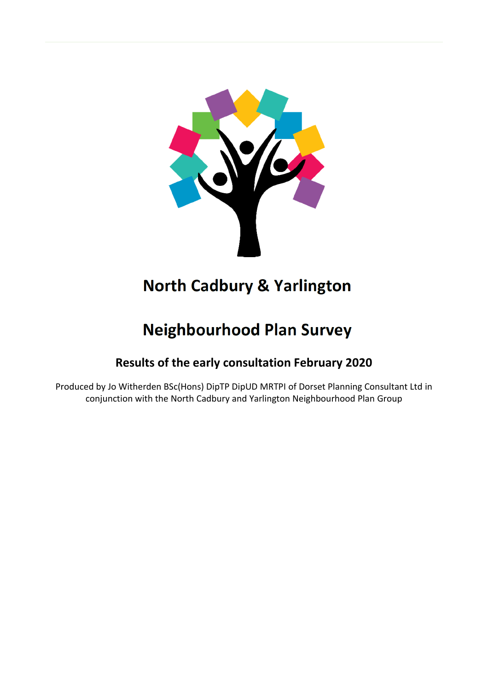

# **North Cadbury & Yarlington**

# **Neighbourhood Plan Survey**

# **Results of the early consultation February 2020**

Produced by Jo Witherden BSc(Hons) DipTP DipUD MRTPI of Dorset Planning Consultant Ltd in conjunction with the North Cadbury and Yarlington Neighbourhood Plan Group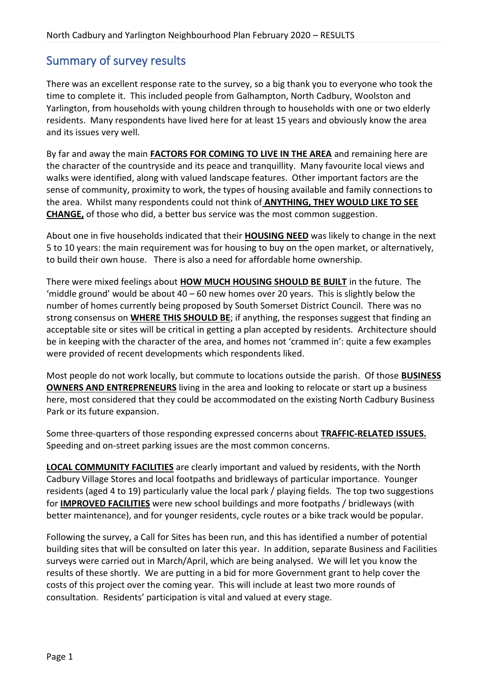# Summary of survey results

There was an excellent response rate to the survey, so a big thank you to everyone who took the time to complete it. This included people from Galhampton, North Cadbury, Woolston and Yarlington, from households with young children through to households with one or two elderly residents. Many respondents have lived here for at least 15 years and obviously know the area and its issues very well.

By far and away the main **FACTORS FOR COMING TO LIVE IN THE AREA** and remaining here are the character of the countryside and its peace and tranquillity. Many favourite local views and walks were identified, along with valued landscape features. Other important factors are the sense of community, proximity to work, the types of housing available and family connections to the area. Whilst many respondents could not think of **ANYTHING, THEY WOULD LIKE TO SEE CHANGE,** of those who did, a better bus service was the most common suggestion.

About one in five households indicated that their **HOUSING NEED** was likely to change in the next 5 to 10 years: the main requirement was for housing to buy on the open market, or alternatively, to build their own house. There is also a need for affordable home ownership.

There were mixed feelings about **HOW MUCH HOUSING SHOULD BE BUILT** in the future. The 'middle ground' would be about 40 – 60 new homes over 20 years. This is slightly below the number of homes currently being proposed by South Somerset District Council. There was no strong consensus on **WHERE THIS SHOULD BE**; if anything, the responses suggest that finding an acceptable site or sites will be critical in getting a plan accepted by residents. Architecture should be in keeping with the character of the area, and homes not 'crammed in': quite a few examples were provided of recent developments which respondents liked.

Most people do not work locally, but commute to locations outside the parish. Of those **BUSINESS OWNERS AND ENTREPRENEURS** living in the area and looking to relocate or start up a business here, most considered that they could be accommodated on the existing North Cadbury Business Park or its future expansion.

Some three-quarters of those responding expressed concerns about **TRAFFIC-RELATED ISSUES.** Speeding and on-street parking issues are the most common concerns.

**LOCAL COMMUNITY FACILITIES** are clearly important and valued by residents, with the North Cadbury Village Stores and local footpaths and bridleways of particular importance. Younger residents (aged 4 to 19) particularly value the local park / playing fields. The top two suggestions for **IMPROVED FACILITIES** were new school buildings and more footpaths / bridleways (with better maintenance), and for younger residents, cycle routes or a bike track would be popular.

Following the survey, a Call for Sites has been run, and this has identified a number of potential building sites that will be consulted on later this year. In addition, separate Business and Facilities surveys were carried out in March/April, which are being analysed. We will let you know the results of these shortly. We are putting in a bid for more Government grant to help cover the costs of this project over the coming year. This will include at least two more rounds of consultation. Residents' participation is vital and valued at every stage.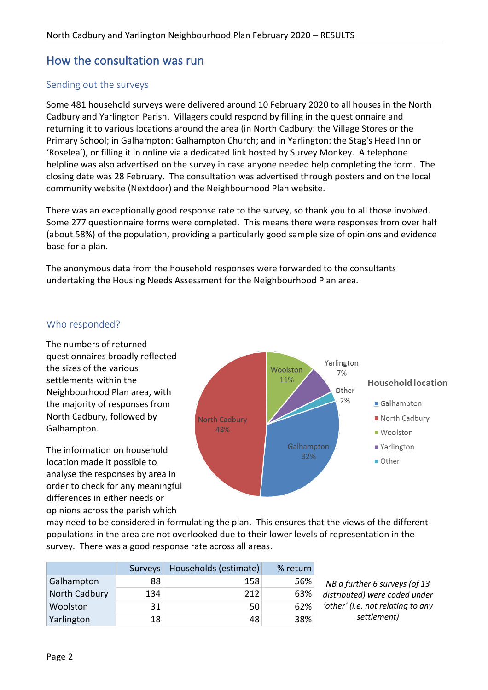# How the consultation was run

## Sending out the surveys

Some 481 household surveys were delivered around 10 February 2020 to all houses in the North Cadbury and Yarlington Parish. Villagers could respond by filling in the questionnaire and returning it to various locations around the area (in North Cadbury: the Village Stores or the Primary School; in Galhampton: Galhampton Church; and in Yarlington: the Stag's Head Inn or 'Roselea'), or filling it in online via a dedicated link hosted by Survey Monkey. A telephone helpline was also advertised on the survey in case anyone needed help completing the form. The closing date was 28 February. The consultation was advertised through posters and on the local community website (Nextdoor) and the Neighbourhood Plan website.

There was an exceptionally good response rate to the survey, so thank you to all those involved. Some 277 questionnaire forms were completed. This means there were responses from over half (about 58%) of the population, providing a particularly good sample size of opinions and evidence base for a plan.

The anonymous data from the household responses were forwarded to the consultants undertaking the Housing Needs Assessment for the Neighbourhood Plan area.

#### Who responded?

The numbers of returned questionnaires broadly reflected the sizes of the various settlements within the Neighbourhood Plan area, with the majority of responses from North Cadbury, followed by Galhampton.

The information on household location made it possible to analyse the responses by area in order to check for any meaningful differences in either needs or opinions across the parish which



may need to be considered in formulating the plan. This ensures that the views of the different populations in the area are not overlooked due to their lower levels of representation in the survey. There was a good response rate across all areas.

|               | <b>Surveys</b> | Households (estimate) | % return |
|---------------|----------------|-----------------------|----------|
| Galhampton    | 88             | 158                   | 56%      |
| North Cadbury | 134            | 212                   | 63%      |
| Woolston      | 31             | 50                    | 62%      |
| Yarlington    | 18             | 48                    | 38%      |

*NB a further 6 surveys (of 13 distributed) were coded under 'other' (i.e. not relating to any settlement)*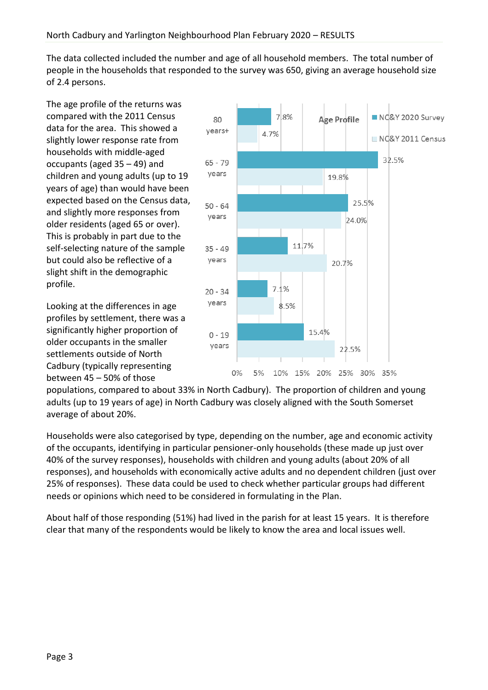The data collected included the number and age of all household members. The total number of people in the households that responded to the survey was 650, giving an average household size of 2.4 persons.

The age profile of the returns was compared with the 2011 Census data for the area. This showed a slightly lower response rate from households with middle-aged occupants (aged 35 – 49) and children and young adults (up to 19 years of age) than would have been expected based on the Census data, and slightly more responses from older residents (aged 65 or over). This is probably in part due to the self-selecting nature of the sample but could also be reflective of a slight shift in the demographic profile.

Looking at the differences in age profiles by settlement, there was a significantly higher proportion of older occupants in the smaller settlements outside of North Cadbury (typically representing between 45 – 50% of those



populations, compared to about 33% in North Cadbury). The proportion of children and young adults (up to 19 years of age) in North Cadbury was closely aligned with the South Somerset average of about 20%.

Households were also categorised by type, depending on the number, age and economic activity of the occupants, identifying in particular pensioner-only households (these made up just over 40% of the survey responses), households with children and young adults (about 20% of all responses), and households with economically active adults and no dependent children (just over 25% of responses). These data could be used to check whether particular groups had different needs or opinions which need to be considered in formulating in the Plan.

About half of those responding (51%) had lived in the parish for at least 15 years. It is therefore clear that many of the respondents would be likely to know the area and local issues well.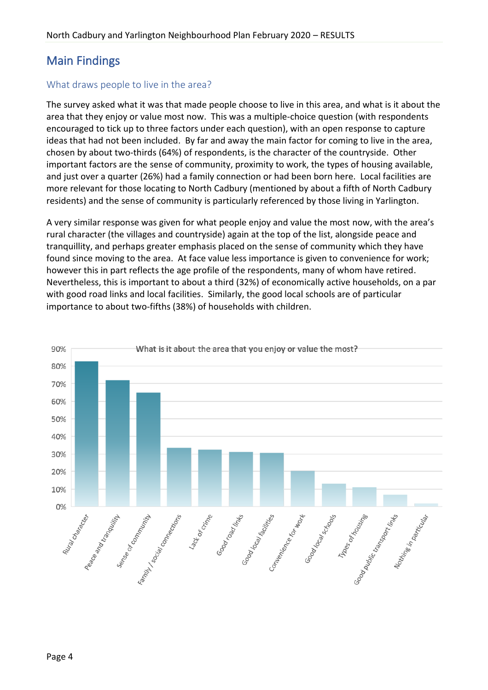# Main Findings

## What draws people to live in the area?

The survey asked what it was that made people choose to live in this area, and what is it about the area that they enjoy or value most now. This was a multiple-choice question (with respondents encouraged to tick up to three factors under each question), with an open response to capture ideas that had not been included. By far and away the main factor for coming to live in the area, chosen by about two-thirds (64%) of respondents, is the character of the countryside. Other important factors are the sense of community, proximity to work, the types of housing available, and just over a quarter (26%) had a family connection or had been born here. Local facilities are more relevant for those locating to North Cadbury (mentioned by about a fifth of North Cadbury residents) and the sense of community is particularly referenced by those living in Yarlington.

A very similar response was given for what people enjoy and value the most now, with the area's rural character (the villages and countryside) again at the top of the list, alongside peace and tranquillity, and perhaps greater emphasis placed on the sense of community which they have found since moving to the area. At face value less importance is given to convenience for work; however this in part reflects the age profile of the respondents, many of whom have retired. Nevertheless, this is important to about a third (32%) of economically active households, on a par with good road links and local facilities. Similarly, the good local schools are of particular importance to about two-fifths (38%) of households with children.

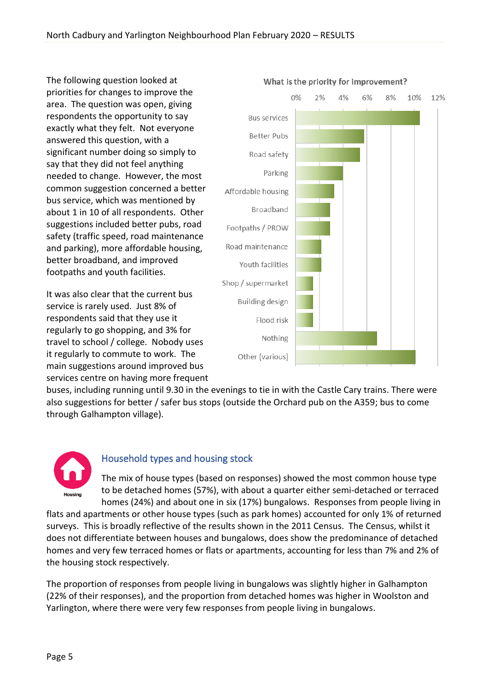The following question looked at priorities for changes to improve the area. The question was open, giving respondents the opportunity to say exactly what they felt. Not everyone answered this question, with a significant number doing so simply to say that they did not feel anything needed to change. However, the most common suggestion concerned a better bus service, which was mentioned by about 1 in 10 of all respondents. Other suggestions included better pubs, road safety (traffic speed, road maintenance and parking), more affordable housing, better broadband, and improved footpaths and youth facilities.

It was also clear that the current bus service is rarely used. Just 8% of respondents said that they use it regularly to go shopping, and 3% for travel to school / college. Nobody uses it regularly to commute to work. The main suggestions around improved bus services centre on having more frequent



buses, including running until 9.30 in the evenings to tie in with the Castle Cary trains. There were also suggestions for better / safer bus stops (outside the Orchard pub on the A359; bus to come through Galhampton village).



# Household types and housing stock

The mix of house types (based on responses) showed the most common house type to be detached homes (57%), with about a quarter either semi-detached or terraced homes (24%) and about one in six (17%) bungalows. Responses from people living in

flats and apartments or other house types (such as park homes) accounted for only 1% of returned surveys. This is broadly reflective of the results shown in the 2011 Census. The Census, whilst it does not differentiate between houses and bungalows, does show the predominance of detached homes and very few terraced homes or flats or apartments, accounting for less than 7% and 2% of the housing stock respectively.

The proportion of responses from people living in bungalows was slightly higher in Galhampton (22% of their responses), and the proportion from detached homes was higher in Woolston and Yarlington, where there were very few responses from people living in bungalows.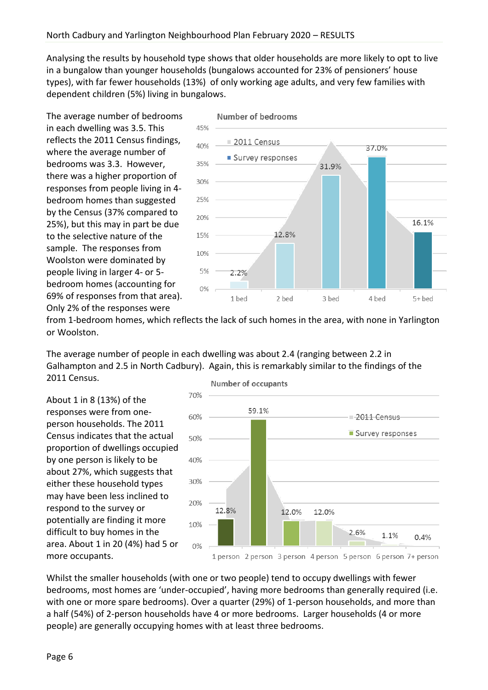Analysing the results by household type shows that older households are more likely to opt to live in a bungalow than younger households (bungalows accounted for 23% of pensioners' house types), with far fewer households (13%) of only working age adults, and very few families with dependent children (5%) living in bungalows.

The average number of bedrooms in each dwelling was 3.5. This reflects the 2011 Census findings, where the average number of bedrooms was 3.3. However, there was a higher proportion of responses from people living in 4 bedroom homes than suggested by the Census (37% compared to 25%), but this may in part be due to the selective nature of the sample. The responses from Woolston were dominated by people living in larger 4- or 5 bedroom homes (accounting for 69% of responses from that area). Only 2% of the responses were



from 1-bedroom homes, which reflects the lack of such homes in the area, with none in Yarlington or Woolston.

The average number of people in each dwelling was about 2.4 (ranging between 2.2 in Galhampton and 2.5 in North Cadbury). Again, this is remarkably similar to the findings of the 2011 Census.

About 1 in 8 (13%) of the responses were from oneperson households. The 2011 Census indicates that the actual proportion of dwellings occupied by one person is likely to be about 27%, which suggests that either these household types may have been less inclined to respond to the survey or potentially are finding it more difficult to buy homes in the area. About 1 in 20 (4%) had 5 or more occupants.



Whilst the smaller households (with one or two people) tend to occupy dwellings with fewer bedrooms, most homes are 'under-occupied', having more bedrooms than generally required (i.e. with one or more spare bedrooms). Over a quarter (29%) of 1-person households, and more than a half (54%) of 2-person households have 4 or more bedrooms. Larger households (4 or more people) are generally occupying homes with at least three bedrooms.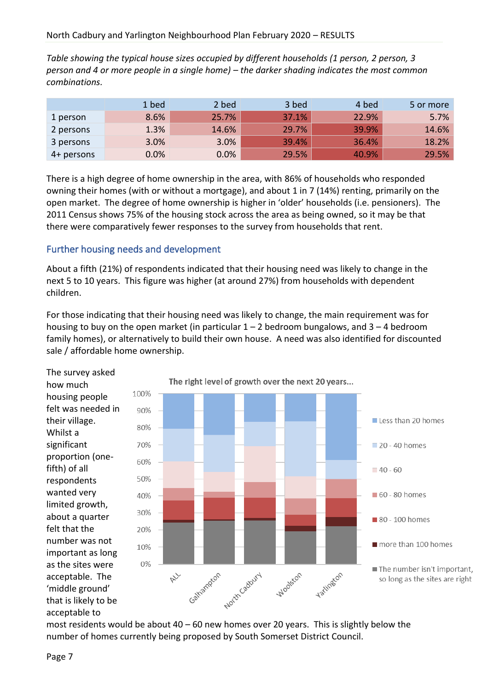*Table showing the typical house sizes occupied by different households (1 person, 2 person, 3 person and 4 or more people in a single home) – the darker shading indicates the most common combinations.*

|            | 1 bed | 2 bed | 3 bed | 4 bed | 5 or more |
|------------|-------|-------|-------|-------|-----------|
| 1 person   | 8.6%  | 25.7% | 37.1% | 22.9% | 5.7%      |
| 2 persons  | 1.3%  | 14.6% | 29.7% | 39.9% | 14.6%     |
| 3 persons  | 3.0%  | 3.0%  | 39.4% | 36.4% | 18.2%     |
| 4+ persons | 0.0%  | 0.0%  | 29.5% | 40.9% | 29.5%     |

There is a high degree of home ownership in the area, with 86% of households who responded owning their homes (with or without a mortgage), and about 1 in 7 (14%) renting, primarily on the open market. The degree of home ownership is higher in 'older' households (i.e. pensioners). The 2011 Census shows 75% of the housing stock across the area as being owned, so it may be that there were comparatively fewer responses to the survey from households that rent.

# Further housing needs and development

About a fifth (21%) of respondents indicated that their housing need was likely to change in the next 5 to 10 years. This figure was higher (at around 27%) from households with dependent children.

For those indicating that their housing need was likely to change, the main requirement was for housing to buy on the open market (in particular  $1 - 2$  bedroom bungalows, and  $3 - 4$  bedroom family homes), or alternatively to build their own house. A need was also identified for discounted sale / affordable home ownership.

The survey asked how much housing people felt was needed in their village. Whilst a significant proportion (onefifth) of all respondents wanted very limited growth, about a quarter felt that the number was not important as long as the sites were acceptable. The 'middle ground' that is likely to be acceptable to



most residents would be about  $40 - 60$  new homes over 20 years. This is slightly below the number of homes currently being proposed by South Somerset District Council.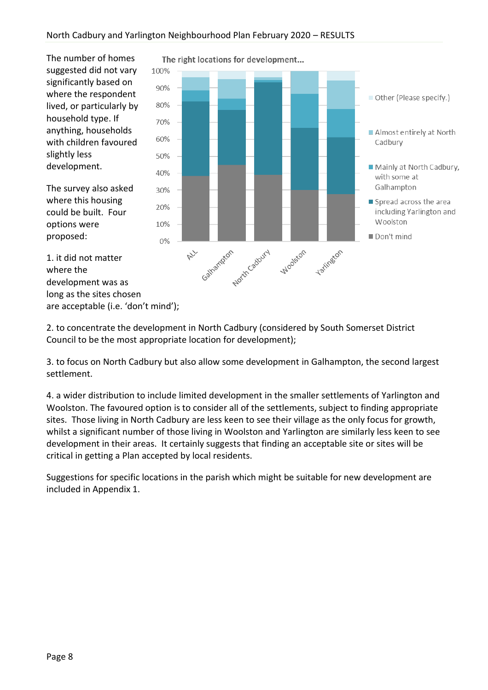The number of homes suggested did not vary significantly based on where the respondent lived, or particularly by household type. If anything, households with children favoured slightly less development.

The survey also asked where this housing could be built. Four options were proposed:

1. it did not matter

development was as long as the sites chosen

are acceptable (i.e. 'don't mind');

where the



The right locations for development...

2. to concentrate the development in North Cadbury (considered by South Somerset District Council to be the most appropriate location for development);

3. to focus on North Cadbury but also allow some development in Galhampton, the second largest settlement.

4. a wider distribution to include limited development in the smaller settlements of Yarlington and Woolston. The favoured option is to consider all of the settlements, subject to finding appropriate sites. Those living in North Cadbury are less keen to see their village as the only focus for growth, whilst a significant number of those living in Woolston and Yarlington are similarly less keen to see development in their areas. It certainly suggests that finding an acceptable site or sites will be critical in getting a Plan accepted by local residents.

Suggestions for specific locations in the parish which might be suitable for new development are included in Appendix 1.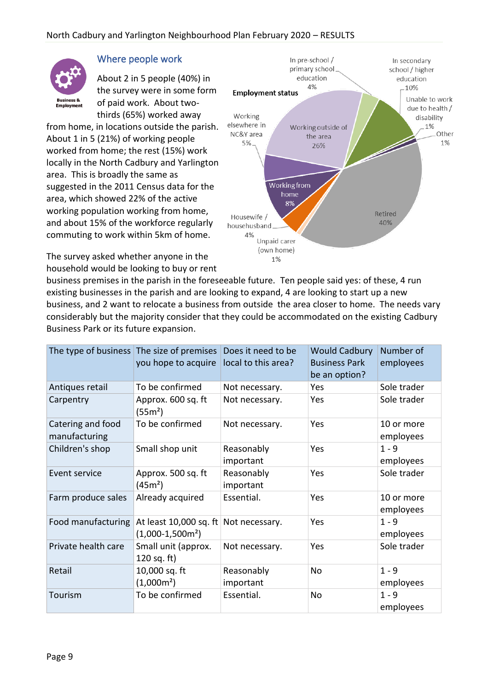

# Where people work

About 2 in 5 people (40%) in the survey were in some form of paid work. About twothirds (65%) worked away

from home, in locations outside the parish. About 1 in 5 (21%) of working people worked from home; the rest (15%) work locally in the North Cadbury and Yarlington area. This is broadly the same as suggested in the 2011 Census data for the area, which showed 22% of the active working population working from home, and about 15% of the workforce regularly commuting to work within 5km of home.

The survey asked whether anyone in the household would be looking to buy or rent



business premises in the parish in the foreseeable future. Ten people said yes: of these, 4 run existing businesses in the parish and are looking to expand, 4 are looking to start up a new business, and 2 want to relocate a business from outside the area closer to home. The needs vary considerably but the majority consider that they could be accommodated on the existing Cadbury Business Park or its future expansion.

|                                    | The type of business The size of premises<br>you hope to acquire | Does it need to be<br>local to this area? | <b>Would Cadbury</b><br><b>Business Park</b><br>be an option? | Number of<br>employees  |
|------------------------------------|------------------------------------------------------------------|-------------------------------------------|---------------------------------------------------------------|-------------------------|
| Antiques retail                    | To be confirmed                                                  | Not necessary.                            | Yes                                                           | Sole trader             |
| Carpentry                          | Approx. 600 sq. ft<br>(55m <sup>2</sup> )                        | Not necessary.                            | Yes                                                           | Sole trader             |
| Catering and food<br>manufacturing | To be confirmed                                                  | Not necessary.                            | Yes                                                           | 10 or more<br>employees |
| Children's shop                    | Small shop unit                                                  | Reasonably<br>important                   | Yes                                                           | $1 - 9$<br>employees    |
| Event service                      | Approx. 500 sq. ft<br>(45m <sup>2</sup> )                        | Reasonably<br>important                   | Yes                                                           | Sole trader             |
| Farm produce sales                 | Already acquired                                                 | Essential.                                | Yes                                                           | 10 or more<br>employees |
| Food manufacturing                 | At least 10,000 sq. ft<br>$(1,000-1,500m2)$                      | Not necessary.                            | Yes                                                           | $1 - 9$<br>employees    |
| Private health care                | Small unit (approx.<br>120 sq. ft)                               | Not necessary.                            | Yes                                                           | Sole trader             |
| Retail                             | 10,000 sq. ft<br>$(1,000m^2)$                                    | Reasonably<br>important                   | No                                                            | $1 - 9$<br>employees    |
| Tourism                            | To be confirmed                                                  | Essential.                                | No                                                            | $1 - 9$<br>employees    |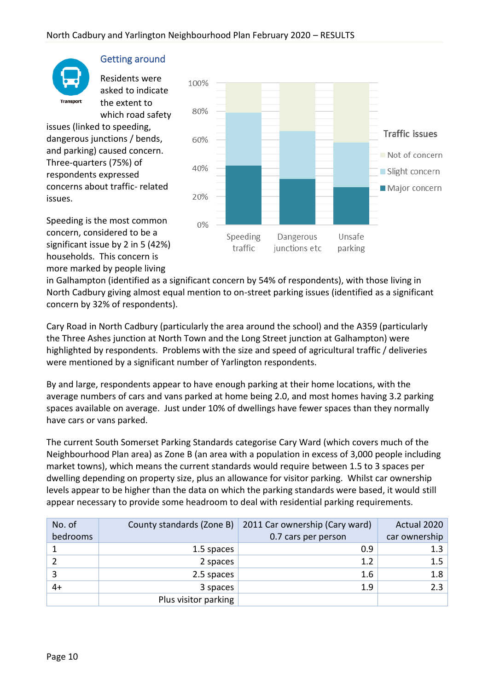

## Getting around

Residents were asked to indicate the extent to which road safety

issues (linked to speeding, dangerous junctions / bends, and parking) caused concern. Three-quarters (75%) of respondents expressed concerns about traffic- related issues.





in Galhampton (identified as a significant concern by 54% of respondents), with those living in North Cadbury giving almost equal mention to on-street parking issues (identified as a significant concern by 32% of respondents).

Cary Road in North Cadbury (particularly the area around the school) and the A359 (particularly the Three Ashes junction at North Town and the Long Street junction at Galhampton) were highlighted by respondents. Problems with the size and speed of agricultural traffic / deliveries were mentioned by a significant number of Yarlington respondents.

By and large, respondents appear to have enough parking at their home locations, with the average numbers of cars and vans parked at home being 2.0, and most homes having 3.2 parking spaces available on average. Just under 10% of dwellings have fewer spaces than they normally have cars or vans parked.

The current South Somerset Parking Standards categorise Cary Ward (which covers much of the Neighbourhood Plan area) as Zone B (an area with a population in excess of 3,000 people including market towns), which means the current standards would require between 1.5 to 3 spaces per dwelling depending on property size, plus an allowance for visitor parking. Whilst car ownership levels appear to be higher than the data on which the parking standards were based, it would still appear necessary to provide some headroom to deal with residential parking requirements.

| No. of   | County standards (Zone B) | 2011 Car ownership (Cary ward) | Actual 2020   |
|----------|---------------------------|--------------------------------|---------------|
| bedrooms |                           | 0.7 cars per person            | car ownership |
|          | 1.5 spaces                | 0.9                            | 1.3           |
|          | 2 spaces                  | 1.2                            | 1.5           |
| 3        | 2.5 spaces                | 1.6                            | 1.8           |
| 4+       | 3 spaces                  | 1.9                            | 2.3           |
|          | Plus visitor parking      |                                |               |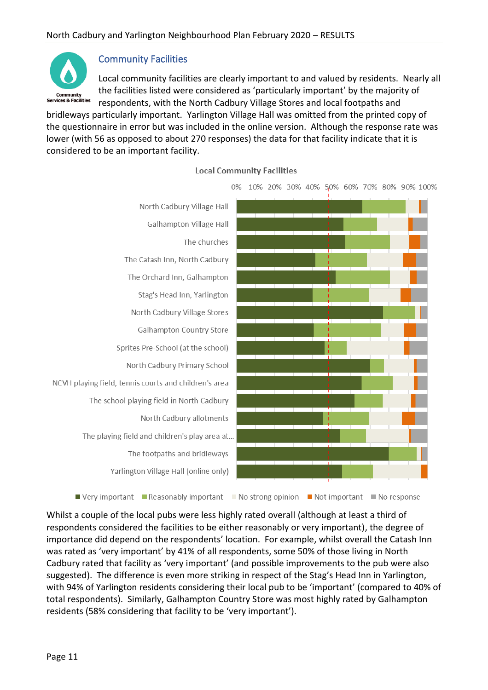

## Community Facilities

Local community facilities are clearly important to and valued by residents. Nearly all the facilities listed were considered as 'particularly important' by the majority of respondents, with the North Cadbury Village Stores and local footpaths and

bridleways particularly important. Yarlington Village Hall was omitted from the printed copy of the questionnaire in error but was included in the online version. Although the response rate was lower (with 56 as opposed to about 270 responses) the data for that facility indicate that it is considered to be an important facility.





0% 10% 20% 30% 40% 50% 60% 70% 80% 90% 100%

Whilst a couple of the local pubs were less highly rated overall (although at least a third of respondents considered the facilities to be either reasonably or very important), the degree of importance did depend on the respondents' location. For example, whilst overall the Catash Inn was rated as 'very important' by 41% of all respondents, some 50% of those living in North Cadbury rated that facility as 'very important' (and possible improvements to the pub were also suggested). The difference is even more striking in respect of the Stag's Head Inn in Yarlington, with 94% of Yarlington residents considering their local pub to be 'important' (compared to 40% of total respondents). Similarly, Galhampton Country Store was most highly rated by Galhampton residents (58% considering that facility to be 'very important').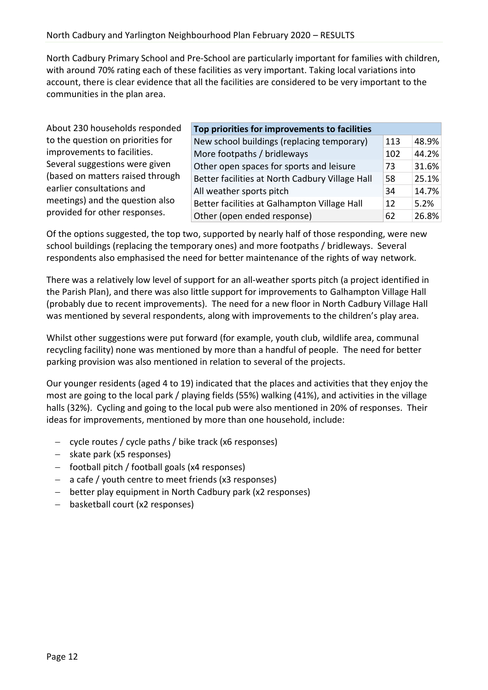North Cadbury Primary School and Pre-School are particularly important for families with children, with around 70% rating each of these facilities as very important. Taking local variations into account, there is clear evidence that all the facilities are considered to be very important to the communities in the plan area.

About 230 households responded to the question on priorities for improvements to facilities. Several suggestions were given (based on matters raised through earlier consultations and meetings) and the question also provided for other responses.

| Top priorities for improvements to facilities   |     |       |
|-------------------------------------------------|-----|-------|
| New school buildings (replacing temporary)      | 113 | 48.9% |
| More footpaths / bridleways                     | 102 | 44.2% |
| Other open spaces for sports and leisure        | 73  | 31.6% |
| Better facilities at North Cadbury Village Hall |     | 25.1% |
| All weather sports pitch                        | 34  | 14.7% |
| Better facilities at Galhampton Village Hall    | 12  | 5.2%  |
| Other (open ended response)                     | 62  | 26.8% |

Of the options suggested, the top two, supported by nearly half of those responding, were new school buildings (replacing the temporary ones) and more footpaths / bridleways. Several respondents also emphasised the need for better maintenance of the rights of way network.

There was a relatively low level of support for an all-weather sports pitch (a project identified in the Parish Plan), and there was also little support for improvements to Galhampton Village Hall (probably due to recent improvements). The need for a new floor in North Cadbury Village Hall was mentioned by several respondents, along with improvements to the children's play area.

Whilst other suggestions were put forward (for example, youth club, wildlife area, communal recycling facility) none was mentioned by more than a handful of people. The need for better parking provision was also mentioned in relation to several of the projects.

Our younger residents (aged 4 to 19) indicated that the places and activities that they enjoy the most are going to the local park / playing fields (55%) walking (41%), and activities in the village halls (32%). Cycling and going to the local pub were also mentioned in 20% of responses. Their ideas for improvements, mentioned by more than one household, include:

- − cycle routes / cycle paths / bike track (x6 responses)
- − skate park (x5 responses)
- − football pitch / football goals (x4 responses)
- − a cafe / youth centre to meet friends (x3 responses)
- − better play equipment in North Cadbury park (x2 responses)
- − basketball court (x2 responses)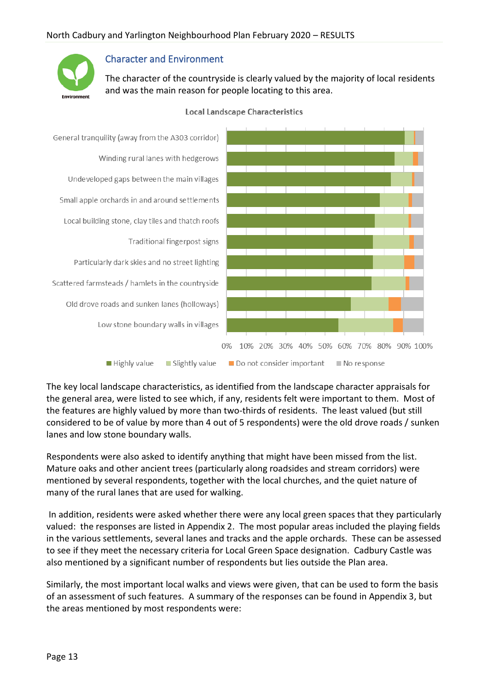

#### Character and Environment

The character of the countryside is clearly valued by the majority of local residents and was the main reason for people locating to this area.



#### **Local Landscape Characteristics**

The key local landscape characteristics, as identified from the landscape character appraisals for the general area, were listed to see which, if any, residents felt were important to them. Most of the features are highly valued by more than two-thirds of residents. The least valued (but still considered to be of value by more than 4 out of 5 respondents) were the old drove roads / sunken lanes and low stone boundary walls.

Respondents were also asked to identify anything that might have been missed from the list. Mature oaks and other ancient trees (particularly along roadsides and stream corridors) were mentioned by several respondents, together with the local churches, and the quiet nature of many of the rural lanes that are used for walking.

In addition, residents were asked whether there were any local green spaces that they particularly valued: the responses are listed in Appendix 2. The most popular areas included the playing fields in the various settlements, several lanes and tracks and the apple orchards. These can be assessed to see if they meet the necessary criteria for Local Green Space designation. Cadbury Castle was also mentioned by a significant number of respondents but lies outside the Plan area.

Similarly, the most important local walks and views were given, that can be used to form the basis of an assessment of such features. A summary of the responses can be found in Appendix 3, but the areas mentioned by most respondents were: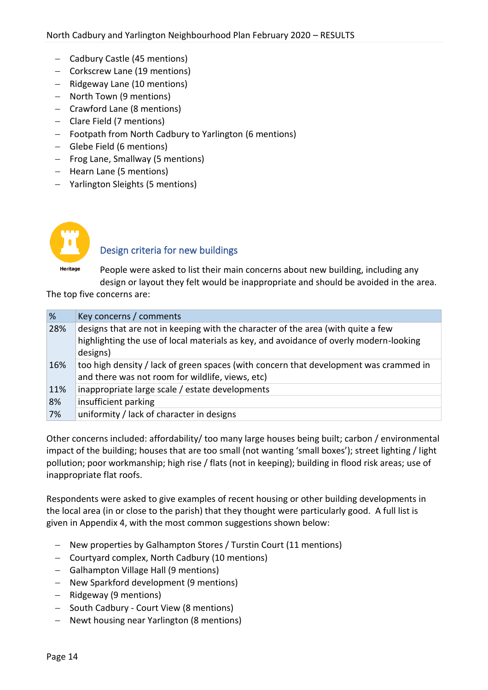- − Cadbury Castle (45 mentions)
- − Corkscrew Lane (19 mentions)
- − Ridgeway Lane (10 mentions)
- − North Town (9 mentions)
- − Crawford Lane (8 mentions)
- − Clare Field (7 mentions)
- − Footpath from North Cadbury to Yarlington (6 mentions)
- − Glebe Field (6 mentions)
- − Frog Lane, Smallway (5 mentions)
- − Hearn Lane (5 mentions)
- − Yarlington Sleights (5 mentions)



# Design criteria for new buildings

People were asked to list their main concerns about new building, including any design or layout they felt would be inappropriate and should be avoided in the area.

The top five concerns are:

| $\frac{9}{6}$ | Key concerns / comments                                                                                                                                                    |
|---------------|----------------------------------------------------------------------------------------------------------------------------------------------------------------------------|
| 28%           | designs that are not in keeping with the character of the area (with quite a few<br>highlighting the use of local materials as key, and avoidance of overly modern-looking |
|               | designs)                                                                                                                                                                   |
| 16%           | too high density / lack of green spaces (with concern that development was crammed in                                                                                      |
|               | and there was not room for wildlife, views, etc)                                                                                                                           |
| 11%           | inappropriate large scale / estate developments                                                                                                                            |
| 8%            | insufficient parking                                                                                                                                                       |
| 7%            | uniformity / lack of character in designs                                                                                                                                  |

Other concerns included: affordability/ too many large houses being built; carbon / environmental impact of the building; houses that are too small (not wanting 'small boxes'); street lighting / light pollution; poor workmanship; high rise / flats (not in keeping); building in flood risk areas; use of inappropriate flat roofs.

Respondents were asked to give examples of recent housing or other building developments in the local area (in or close to the parish) that they thought were particularly good. A full list is given in Appendix 4, with the most common suggestions shown below:

- − New properties by Galhampton Stores / Turstin Court (11 mentions)
- − Courtyard complex, North Cadbury (10 mentions)
- − Galhampton Village Hall (9 mentions)
- − New Sparkford development (9 mentions)
- − Ridgeway (9 mentions)
- − South Cadbury Court View (8 mentions)
- − Newt housing near Yarlington (8 mentions)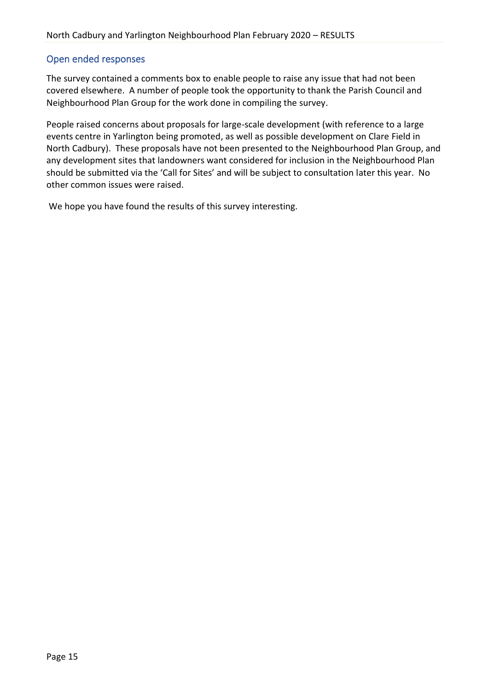### Open ended responses

The survey contained a comments box to enable people to raise any issue that had not been covered elsewhere. A number of people took the opportunity to thank the Parish Council and Neighbourhood Plan Group for the work done in compiling the survey.

People raised concerns about proposals for large-scale development (with reference to a large events centre in Yarlington being promoted, as well as possible development on Clare Field in North Cadbury). These proposals have not been presented to the Neighbourhood Plan Group, and any development sites that landowners want considered for inclusion in the Neighbourhood Plan should be submitted via the 'Call for Sites' and will be subject to consultation later this year. No other common issues were raised.

We hope you have found the results of this survey interesting.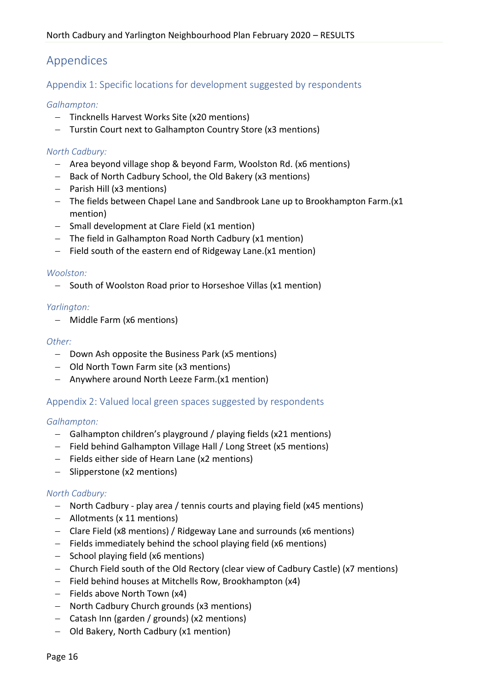# Appendices

Appendix 1: Specific locations for development suggested by respondents

#### *Galhampton:*

- − Tincknells Harvest Works Site (x20 mentions)
- − Turstin Court next to Galhampton Country Store (x3 mentions)

#### *North Cadbury:*

- − Area beyond village shop & beyond Farm, Woolston Rd. (x6 mentions)
- − Back of North Cadbury School, the Old Bakery (x3 mentions)
- − Parish Hill (x3 mentions)
- − The fields between Chapel Lane and Sandbrook Lane up to Brookhampton Farm.(x1 mention)
- − Small development at Clare Field (x1 mention)
- − The field in Galhampton Road North Cadbury (x1 mention)
- − Field south of the eastern end of Ridgeway Lane.(x1 mention)

#### *Woolston:*

− South of Woolston Road prior to Horseshoe Villas (x1 mention)

#### *Yarlington:*

− Middle Farm (x6 mentions)

#### *Other:*

- − Down Ash opposite the Business Park (x5 mentions)
- − Old North Town Farm site (x3 mentions)
- − Anywhere around North Leeze Farm.(x1 mention)

## Appendix 2: Valued local green spaces suggested by respondents

#### *Galhampton:*

- − Galhampton children's playground / playing fields (x21 mentions)
- − Field behind Galhampton Village Hall / Long Street (x5 mentions)
- − Fields either side of Hearn Lane (x2 mentions)
- − Slipperstone (x2 mentions)

#### *North Cadbury:*

- − North Cadbury play area / tennis courts and playing field (x45 mentions)
- − Allotments (x 11 mentions)
- − Clare Field (x8 mentions) / Ridgeway Lane and surrounds (x6 mentions)
- − Fields immediately behind the school playing field (x6 mentions)
- − School playing field (x6 mentions)
- − Church Field south of the Old Rectory (clear view of Cadbury Castle) (x7 mentions)
- − Field behind houses at Mitchells Row, Brookhampton (x4)
- − Fields above North Town (x4)
- − North Cadbury Church grounds (x3 mentions)
- − Catash Inn (garden / grounds) (x2 mentions)
- − Old Bakery, North Cadbury (x1 mention)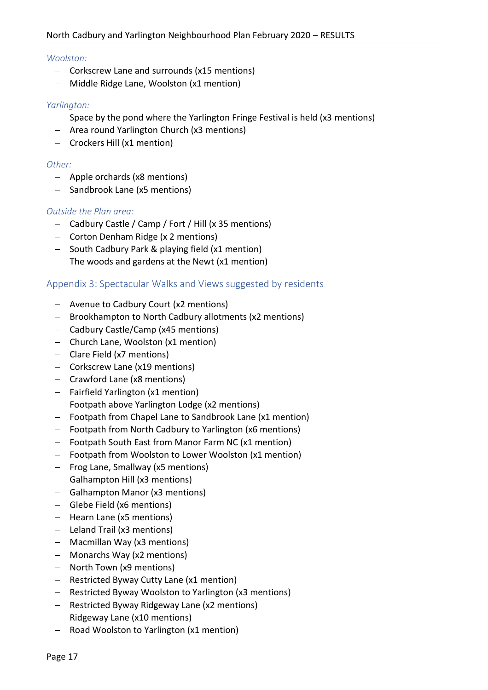#### *Woolston:*

- − Corkscrew Lane and surrounds (x15 mentions)
- − Middle Ridge Lane, Woolston (x1 mention)

#### *Yarlington:*

- − Space by the pond where the Yarlington Fringe Festival is held (x3 mentions)
- − Area round Yarlington Church (x3 mentions)
- − Crockers Hill (x1 mention)

#### *Other:*

- − Apple orchards (x8 mentions)
- − Sandbrook Lane (x5 mentions)

#### *Outside the Plan area:*

- − Cadbury Castle / Camp / Fort / Hill (x 35 mentions)
- − Corton Denham Ridge (x 2 mentions)
- − South Cadbury Park & playing field (x1 mention)
- − The woods and gardens at the Newt (x1 mention)

#### Appendix 3: Spectacular Walks and Views suggested by residents

- − Avenue to Cadbury Court (x2 mentions)
- − Brookhampton to North Cadbury allotments (x2 mentions)
- − Cadbury Castle/Camp (x45 mentions)
- − Church Lane, Woolston (x1 mention)
- − Clare Field (x7 mentions)
- − Corkscrew Lane (x19 mentions)
- − Crawford Lane (x8 mentions)
- − Fairfield Yarlington (x1 mention)
- − Footpath above Yarlington Lodge (x2 mentions)
- − Footpath from Chapel Lane to Sandbrook Lane (x1 mention)
- − Footpath from North Cadbury to Yarlington (x6 mentions)
- − Footpath South East from Manor Farm NC (x1 mention)
- − Footpath from Woolston to Lower Woolston (x1 mention)
- − Frog Lane, Smallway (x5 mentions)
- − Galhampton Hill (x3 mentions)
- − Galhampton Manor (x3 mentions)
- − Glebe Field (x6 mentions)
- − Hearn Lane (x5 mentions)
- − Leland Trail (x3 mentions)
- − Macmillan Way (x3 mentions)
- − Monarchs Way (x2 mentions)
- − North Town (x9 mentions)
- − Restricted Byway Cutty Lane (x1 mention)
- − Restricted Byway Woolston to Yarlington (x3 mentions)
- − Restricted Byway Ridgeway Lane (x2 mentions)
- − Ridgeway Lane (x10 mentions)
- − Road Woolston to Yarlington (x1 mention)